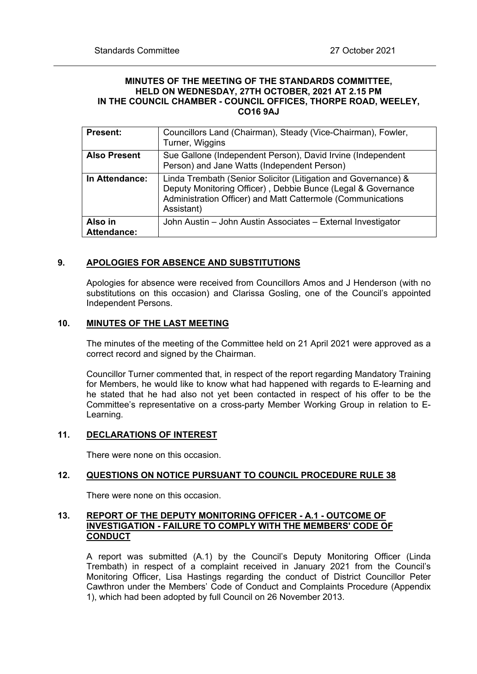### **MINUTES OF THE MEETING OF THE STANDARDS COMMITTEE, HELD ON WEDNESDAY, 27TH OCTOBER, 2021 AT 2.15 PM IN THE COUNCIL CHAMBER - COUNCIL OFFICES, THORPE ROAD, WEELEY, CO16 9AJ**

| <b>Present:</b>               | Councillors Land (Chairman), Steady (Vice-Chairman), Fowler,<br>Turner, Wiggins                                                                                                                             |
|-------------------------------|-------------------------------------------------------------------------------------------------------------------------------------------------------------------------------------------------------------|
| <b>Also Present</b>           | Sue Gallone (Independent Person), David Irvine (Independent<br>Person) and Jane Watts (Independent Person)                                                                                                  |
| In Attendance:                | Linda Trembath (Senior Solicitor (Litigation and Governance) &<br>Deputy Monitoring Officer), Debbie Bunce (Legal & Governance<br>Administration Officer) and Matt Cattermole (Communications<br>Assistant) |
| Also in<br><b>Attendance:</b> | John Austin - John Austin Associates - External Investigator                                                                                                                                                |

### **9. APOLOGIES FOR ABSENCE AND SUBSTITUTIONS**

Apologies for absence were received from Councillors Amos and J Henderson (with no substitutions on this occasion) and Clarissa Gosling, one of the Council's appointed Independent Persons.

### **10. MINUTES OF THE LAST MEETING**

The minutes of the meeting of the Committee held on 21 April 2021 were approved as a correct record and signed by the Chairman.

Councillor Turner commented that, in respect of the report regarding Mandatory Training for Members, he would like to know what had happened with regards to E-learning and he stated that he had also not yet been contacted in respect of his offer to be the Committee's representative on a cross-party Member Working Group in relation to E-Learning.

# **11. DECLARATIONS OF INTEREST**

There were none on this occasion.

### **12. QUESTIONS ON NOTICE PURSUANT TO COUNCIL PROCEDURE RULE 38**

There were none on this occasion.

# **13. REPORT OF THE DEPUTY MONITORING OFFICER - A.1 - OUTCOME OF INVESTIGATION - FAILURE TO COMPLY WITH THE MEMBERS' CODE OF CONDUCT**

A report was submitted (A.1) by the Council's Deputy Monitoring Officer (Linda Trembath) in respect of a complaint received in January 2021 from the Council's Monitoring Officer, Lisa Hastings regarding the conduct of District Councillor Peter Cawthron under the Members' Code of Conduct and Complaints Procedure (Appendix 1), which had been adopted by full Council on 26 November 2013.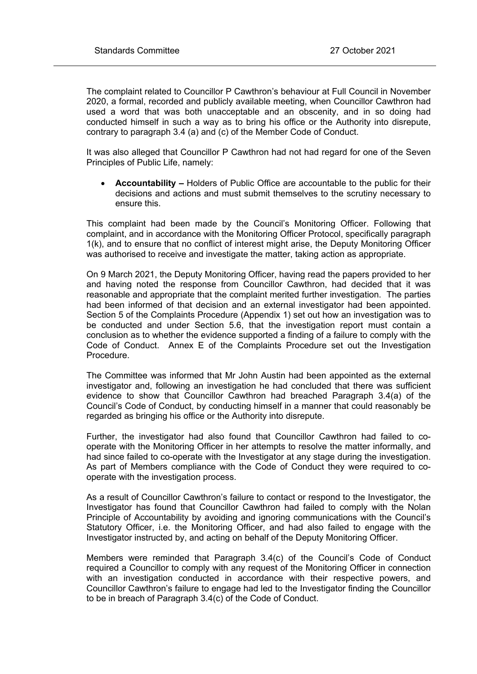The complaint related to Councillor P Cawthron's behaviour at Full Council in November 2020, a formal, recorded and publicly available meeting, when Councillor Cawthron had used a word that was both unacceptable and an obscenity, and in so doing had conducted himself in such a way as to bring his office or the Authority into disrepute, contrary to paragraph 3.4 (a) and (c) of the Member Code of Conduct.

It was also alleged that Councillor P Cawthron had not had regard for one of the Seven Principles of Public Life, namely:

 **Accountability –** Holders of Public Office are accountable to the public for their decisions and actions and must submit themselves to the scrutiny necessary to ensure this.

This complaint had been made by the Council's Monitoring Officer. Following that complaint, and in accordance with the Monitoring Officer Protocol, specifically paragraph 1(k), and to ensure that no conflict of interest might arise, the Deputy Monitoring Officer was authorised to receive and investigate the matter, taking action as appropriate.

On 9 March 2021, the Deputy Monitoring Officer, having read the papers provided to her and having noted the response from Councillor Cawthron, had decided that it was reasonable and appropriate that the complaint merited further investigation. The parties had been informed of that decision and an external investigator had been appointed. Section 5 of the Complaints Procedure (Appendix 1) set out how an investigation was to be conducted and under Section 5.6, that the investigation report must contain a conclusion as to whether the evidence supported a finding of a failure to comply with the Code of Conduct. Annex E of the Complaints Procedure set out the Investigation Procedure.

The Committee was informed that Mr John Austin had been appointed as the external investigator and, following an investigation he had concluded that there was sufficient evidence to show that Councillor Cawthron had breached Paragraph 3.4(a) of the Council's Code of Conduct, by conducting himself in a manner that could reasonably be regarded as bringing his office or the Authority into disrepute.

Further, the investigator had also found that Councillor Cawthron had failed to cooperate with the Monitoring Officer in her attempts to resolve the matter informally, and had since failed to co-operate with the Investigator at any stage during the investigation. As part of Members compliance with the Code of Conduct they were required to cooperate with the investigation process.

As a result of Councillor Cawthron's failure to contact or respond to the Investigator, the Investigator has found that Councillor Cawthron had failed to comply with the Nolan Principle of Accountability by avoiding and ignoring communications with the Council's Statutory Officer, i.e. the Monitoring Officer, and had also failed to engage with the Investigator instructed by, and acting on behalf of the Deputy Monitoring Officer.

Members were reminded that Paragraph 3.4(c) of the Council's Code of Conduct required a Councillor to comply with any request of the Monitoring Officer in connection with an investigation conducted in accordance with their respective powers, and Councillor Cawthron's failure to engage had led to the Investigator finding the Councillor to be in breach of Paragraph 3.4(c) of the Code of Conduct.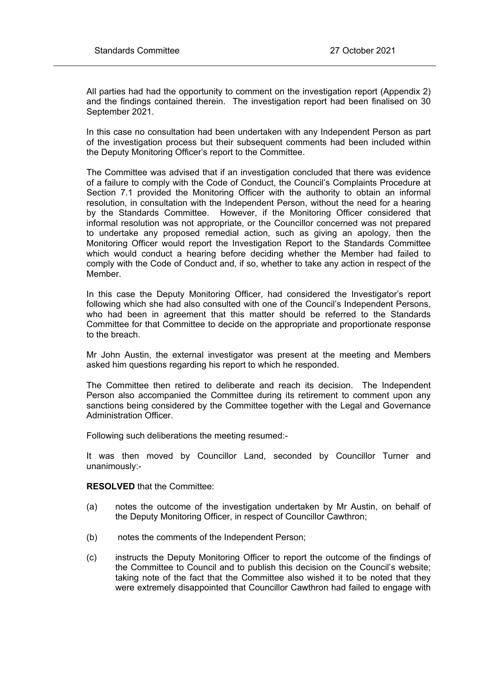All parties had had the opportunity to comment on the investigation report (Appendix 2) and the findings contained therein. The investigation report had been finalised on 30 September 2021.

In this case no consultation had been undertaken with any Independent Person as part of the investigation process but their subsequent comments had been included within the Deputy Monitoring Officer's report to the Committee.

The Committee was advised that if an investigation concluded that there was evidence of a failure to comply with the Code of Conduct, the Council's Complaints Procedure at Section 7.1 provided the Monitoring Officer with the authority to obtain an informal resolution, in consultation with the Independent Person, without the need for a hearing by the Standards Committee. However, if the Monitoring Officer considered that informal resolution was not appropriate, or the Councillor concerned was not prepared to undertake any proposed remedial action, such as giving an apology, then the Monitoring Officer would report the Investigation Report to the Standards Committee which would conduct a hearing before deciding whether the Member had failed to comply with the Code of Conduct and, if so, whether to take any action in respect of the Member.

In this case the Deputy Monitoring Officer, had considered the Investigator's report following which she had also consulted with one of the Council's Independent Persons, who had been in agreement that this matter should be referred to the Standards Committee for that Committee to decide on the appropriate and proportionate response to the breach.

Mr John Austin, the external investigator was present at the meeting and Members asked him questions regarding his report to which he responded.

The Committee then retired to deliberate and reach its decision. The Independent Person also accompanied the Committee during its retirement to comment upon any sanctions being considered by the Committee together with the Legal and Governance Administration Officer.

Following such deliberations the meeting resumed:-

It was then moved by Councillor Land, seconded by Councillor Turner and unanimously:-

**RESOLVED** that the Committee:

- (a) notes the outcome of the investigation undertaken by Mr Austin, on behalf of the Deputy Monitoring Officer, in respect of Councillor Cawthron;
- (b) notes the comments of the Independent Person;
- (c) instructs the Deputy Monitoring Officer to report the outcome of the findings of the Committee to Council and to publish this decision on the Council's website; taking note of the fact that the Committee also wished it to be noted that they were extremely disappointed that Councillor Cawthron had failed to engage with